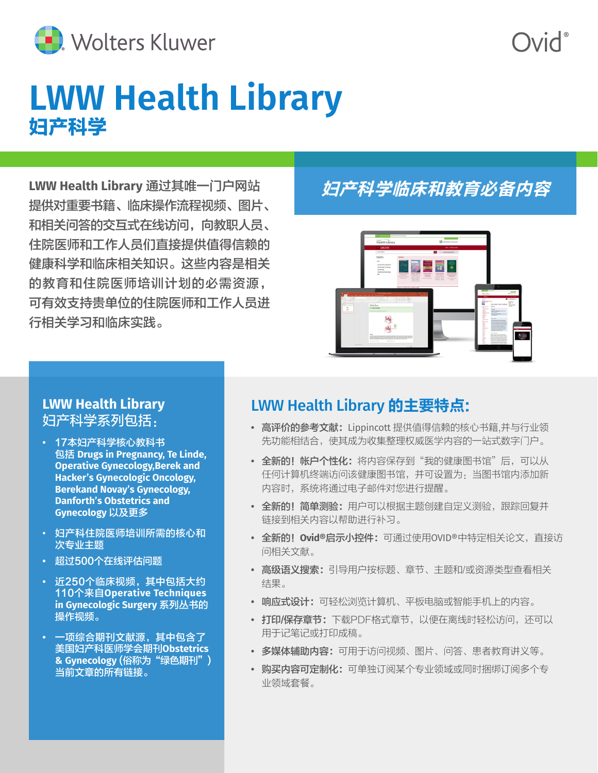

# **LWW Health Library** 妇产科学

**LWW Health Library** 通过其唯一门户网站 提供对重要书籍、临床操作流程视频、图片、 和相关问答的交互式在线访问,向教职人员、 住院医师和工作人员们直接提供值得信赖的 健康科学和临床相关知识。这些内容是相关 的教育和住院医师培训计划的必需资源, 可有效支持贵单位的住院医师和工作人员进 行相关学习和临床实践。

## 妇产科学临床和教育必备内容



#### **LWW Health Library**  妇产科学系列包括:

- **•** 17本妇产科学核心教科书 包括 **Drugs in Pregnancy, Te Linde, Operative Gynecology,Berek and Hacker's Gynecologic Oncology, Berekand Novay's Gynecology, Danforth's Obstetrics and Gynecology** 以及更多
- 妇产科住院医师培训所需的核心和 次专业主题
- **•** 超过500个在线评估问题
- **•** 近250个临床视频,其中包括大约 110个来自**Operative Techniques in Gynecologic Surgery** 系列丛书的 操作视频。
- **•** 一项综合期刊文献源,其中包含了 美国妇产科医师学会期刊**Obstetrics & Gynecology** (俗称为"绿色期刊") 当前文章的所有链接。

### LWW Health Library 的主要特点:

- **•** 高评价的参考文献:Lippincott 提供值得信赖的核心书籍,并与行业领 先功能相结合,使其成为收集整理权威医学内容的一站式数字门户。
- **•** 全新的!帐户个性化:将内容保存到"我的健康图书馆"后,可以从 任何计算机终端访问该健康图书馆,并可设置为:当图书馆内添加新 内容时,系统将通过电子邮件对您进行提醒。
- **•** 全新的!简单测验:用户可以根据主题创建自定义测验,跟踪回复并 链接到相关内容以帮助进行补习。
- **•** 全新的!**Ovid®**启示小控件:可通过使用OVID®中特定相关论文,直接访 问相关文献。
- **•** 高级语义搜索:引导用户按标题、章节、主题和/或资源类型查看相关 结果。
- **•** 响应式设计:可轻松浏览计算机、平板电脑或智能手机上的内容。
- **•** 打印/保存章节:下载PDF格式章节,以便在离线时轻松访问,还可以 用于记笔记或打印成稿。
- **•** 多媒体辅助内容:可用于访问视频、图片、问答、患者教育讲义等。
- **•** 购买内容可定制化:可单独订阅某个专业领域或同时捆绑订阅多个专 业领域套餐。